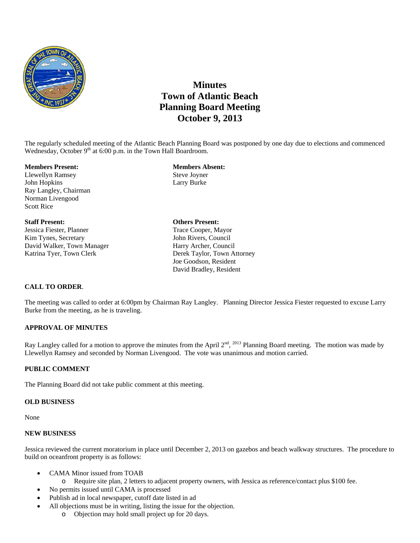

# **Minutes Town of Atlantic Beach Planning Board Meeting October 9, 2013**

The regularly scheduled meeting of the Atlantic Beach Planning Board was postponed by one day due to elections and commenced Wednesday, October 9<sup>th</sup> at 6:00 p.m. in the Town Hall Boardroom.

#### **Members Present: Members Absent:**

Llewellyn Ramsey Steve Joyner John Hopkins Larry Burke Ray Langley, Chairman Norman Livengood Scott Rice

**Staff Present: Others Present:**  Jessica Fiester, Planner Trace Cooper, Mayor Kim Tynes, Secretary **John Rivers, Council** David Walker, Town Manager Harry Archer, Council Katrina Tyer, Town Clerk Taylor, Town Attorney

Joe Goodson, Resident David Bradley, Resident

## **CALL TO ORDER**.

The meeting was called to order at 6:00pm by Chairman Ray Langley. Planning Director Jessica Fiester requested to excuse Larry Burke from the meeting, as he is traveling.

### **APPROVAL OF MINUTES**

Ray Langley called for a motion to approve the minutes from the April  $2^{nd}$ ,  $^{2013}$  Planning Board meeting. The motion was made by Llewellyn Ramsey and seconded by Norman Livengood. The vote was unanimous and motion carried.

#### **PUBLIC COMMENT**

The Planning Board did not take public comment at this meeting.

#### **OLD BUSINESS**

None

#### **NEW BUSINESS**

Jessica reviewed the current moratorium in place until December 2, 2013 on gazebos and beach walkway structures. The procedure to build on oceanfront property is as follows:

- CAMA Minor issued from TOAB
	- o Require site plan, 2 letters to adjacent property owners, with Jessica as reference/contact plus \$100 fee.
- No permits issued until CAMA is processed
- Publish ad in local newspaper, cutoff date listed in ad
- All objections must be in writing, listing the issue for the objection.
	- o Objection may hold small project up for 20 days.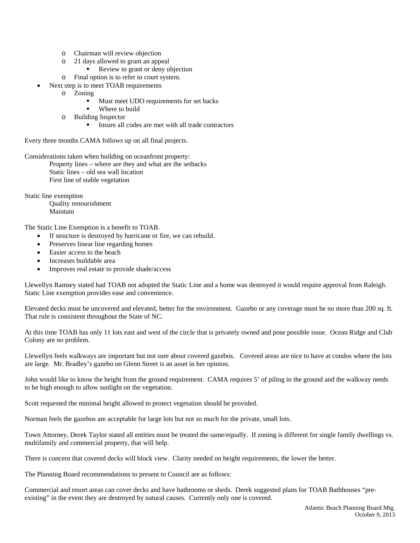- o Chairman will review objection
- o 21 days allowed to grant an appeal
	- Review to grant or deny objection
- o Final option is to refer to court system.
- Next step is to meet TOAB requirements
	- o Zoning
		- Must meet UDO requirements for set backs
		- Where to build
	- o Building Inspector
		- Insure all codes are met with all trade contractors

Every three months CAMA follows up on all final projects.

Considerations taken when building on oceanfront property: Property lines – where are they and what are the setbacks Static lines – old sea wall location First line of stable vegetation

Static line exemption

 Quality renourishment Maintain

The Static Line Exemption is a benefit to TOAB.

- If structure is destroyed by hurricane or fire, we can rebuild.
- Preserves linear line regarding homes
- Easier access to the beach
- Increases buildable area
- Improves real estate to provide shade/access

Llewellyn Ramsey stated had TOAB not adopted the Static Line and a home was destroyed it would require approval from Raleigh. Static Line exemption provides ease and convenience.

Elevated decks must be uncovered and elevated, better for the environment. Gazebo or any coverage must be no more than 200 sq. ft. That rule is consistent throughout the State of NC.

At this time TOAB has only 11 lots east and west of the circle that is privately owned and pose possible issue. Ocean Ridge and Club Colony are no problem.

Llewellyn feels walkways are important but not sure about covered gazebos. Covered areas are nice to have at condos where the lots are large. Mr. Bradley's gazebo on Glenn Street is an asset in her opinion.

John would like to know the height from the ground requirement. CAMA requires 5' of piling in the ground and the walkway needs to be high enough to allow sunlight on the vegetation.

Scott requested the minimal height allowed to protect vegetation should be provided.

Norman feels the gazebos are acceptable for large lots but not so much for the private, small lots.

Town Attorney, Derek Taylor stated all entities must be treated the same/equally. If zoning is different for single family dwellings vs. multifamily and commercial property, that will help.

There is concern that covered decks will block view. Clarity needed on height requirements, the lower the better.

The Planning Board recommendations to present to Council are as follows:

Commercial and resort areas can cover decks and have bathrooms or sheds. Derek suggested plans for TOAB Bathhouses "preexisting" in the event they are destroyed by natural causes. Currently only one is covered.